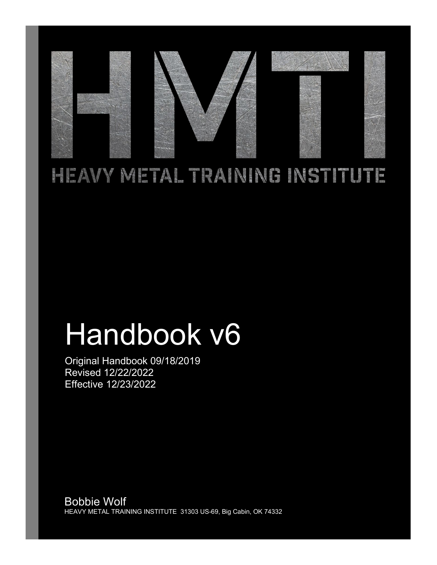

# HEAVY METAL TRAINING INSTITUTE

# Handbook v6

Original Handbook 09/18/2019 Revised 12/22/2022 Effective 12/23/2022

Bobbie Wolf HEAVY METAL TRAINING INSTITUTE 31303 US-69, Big Cabin, OK 74332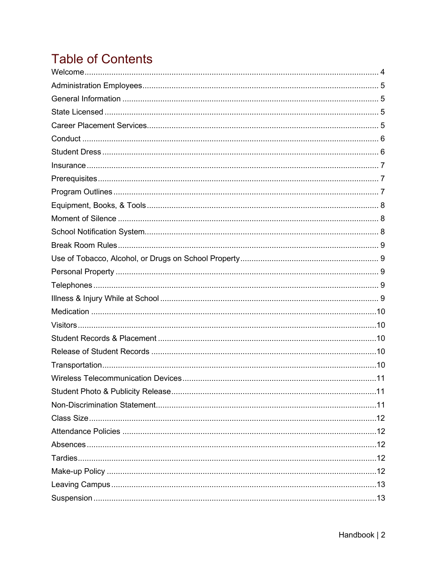# **Table of Contents**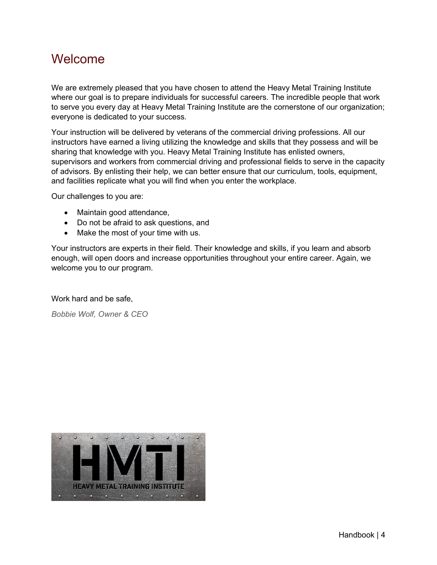#### <span id="page-3-0"></span>Welcome

We are extremely pleased that you have chosen to attend the Heavy Metal Training Institute where our goal is to prepare individuals for successful careers. The incredible people that work to serve you every day at Heavy Metal Training Institute are the cornerstone of our organization; everyone is dedicated to your success.

Your instruction will be delivered by veterans of the commercial driving professions. All our instructors have earned a living utilizing the knowledge and skills that they possess and will be sharing that knowledge with you. Heavy Metal Training Institute has enlisted owners, supervisors and workers from commercial driving and professional fields to serve in the capacity of advisors. By enlisting their help, we can better ensure that our curriculum, tools, equipment, and facilities replicate what you will find when you enter the workplace.

Our challenges to you are:

- Maintain good attendance,
- Do not be afraid to ask questions, and
- Make the most of your time with us.

Your instructors are experts in their field. Their knowledge and skills, if you learn and absorb enough, will open doors and increase opportunities throughout your entire career. Again, we welcome you to our program.

Work hard and be safe,

*Bobbie Wolf, Owner & CEO*

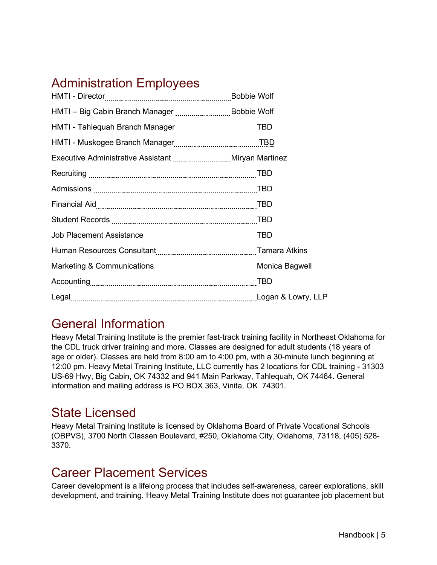# <span id="page-4-0"></span>Administration Employees

| HMTI - Big Cabin Branch Manager Bobbie Wolf |  |
|---------------------------------------------|--|
|                                             |  |
|                                             |  |
|                                             |  |
|                                             |  |
|                                             |  |
|                                             |  |
|                                             |  |
|                                             |  |
|                                             |  |
|                                             |  |
|                                             |  |
|                                             |  |

# <span id="page-4-1"></span>General Information

Heavy Metal Training Institute is the premier fast-track training facility in Northeast Oklahoma for the CDL truck driver training and more. Classes are designed for adult students (18 years of age or older). Classes are held from 8:00 am to 4:00 pm, with a 30-minute lunch beginning at 12:00 pm. Heavy Metal Training Institute, LLC currently has 2 locations for CDL training - 31303 US-69 Hwy, Big Cabin, OK 74332 and 941 Main Parkway, Tahlequah, OK 74464. General information and mailing address is PO BOX 363, Vinita, OK 74301.

#### <span id="page-4-2"></span>State Licensed

Heavy Metal Training Institute is licensed by Oklahoma Board of Private Vocational Schools (OBPVS), 3700 North Classen Boulevard, #250, Oklahoma City, Oklahoma, 73118, (405) 528- 3370.

#### <span id="page-4-3"></span>Career Placement Services

Career development is a lifelong process that includes self-awareness, career explorations, skill development, and training. Heavy Metal Training Institute does not guarantee job placement but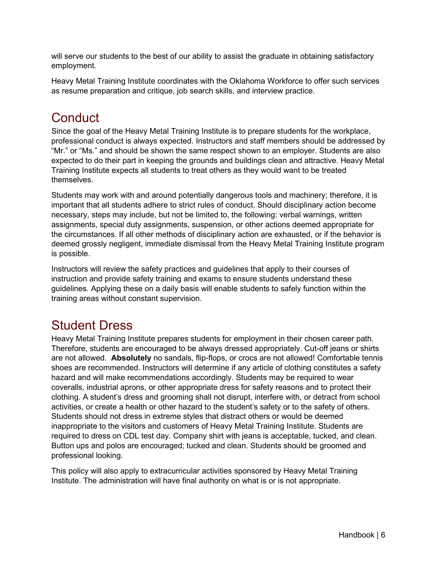will serve our students to the best of our ability to assist the graduate in obtaining satisfactory employment.

Heavy Metal Training Institute coordinates with the Oklahoma Workforce to offer such services as resume preparation and critique, job search skills, and interview practice.

# <span id="page-5-0"></span>**Conduct**

Since the goal of the Heavy Metal Training Institute is to prepare students for the workplace, professional conduct is always expected. Instructors and staff members should be addressed by "Mr." or "Ms." and should be shown the same respect shown to an employer. Students are also expected to do their part in keeping the grounds and buildings clean and attractive. Heavy Metal Training Institute expects all students to treat others as they would want to be treated themselves.

Students may work with and around potentially dangerous tools and machinery; therefore, it is important that all students adhere to strict rules of conduct. Should disciplinary action become necessary, steps may include, but not be limited to, the following: verbal warnings, written assignments, special duty assignments, suspension, or other actions deemed appropriate for the circumstances. If all other methods of disciplinary action are exhausted, or if the behavior is deemed grossly negligent, immediate dismissal from the Heavy Metal Training Institute program is possible.

Instructors will review the safety practices and guidelines that apply to their courses of instruction and provide safety training and exams to ensure students understand these guidelines. Applying these on a daily basis will enable students to safely function within the training areas without constant supervision.

# <span id="page-5-1"></span>Student Dress

Heavy Metal Training Institute prepares students for employment in their chosen career path. Therefore, students are encouraged to be always dressed appropriately. Cut-off jeans or shirts are not allowed. **Absolutely** no sandals, flip-flops, or crocs are not allowed! Comfortable tennis shoes are recommended. Instructors will determine if any article of clothing constitutes a safety hazard and will make recommendations accordingly. Students may be required to wear coveralls, industrial aprons, or other appropriate dress for safety reasons and to protect their clothing. A student's dress and grooming shall not disrupt, interfere with, or detract from school activities, or create a health or other hazard to the student's safety or to the safety of others. Students should not dress in extreme styles that distract others or would be deemed inappropriate to the visitors and customers of Heavy Metal Training Institute. Students are required to dress on CDL test day. Company shirt with jeans is acceptable, tucked, and clean. Button ups and polos are encouraged; tucked and clean. Students should be groomed and professional looking.

This policy will also apply to extracurricular activities sponsored by Heavy Metal Training Institute. The administration will have final authority on what is or is not appropriate.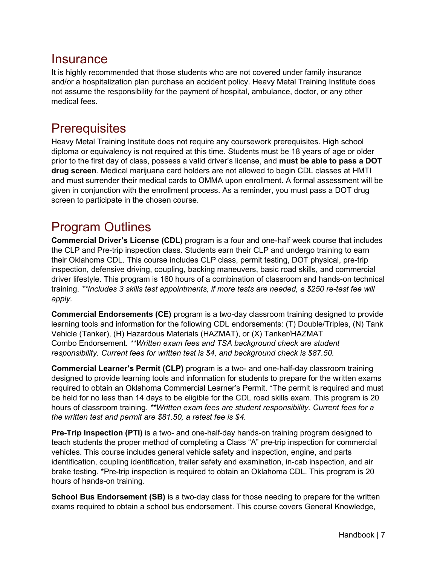#### <span id="page-6-0"></span>**Insurance**

It is highly recommended that those students who are not covered under family insurance and/or a hospitalization plan purchase an accident policy. Heavy Metal Training Institute does not assume the responsibility for the payment of hospital, ambulance, doctor, or any other medical fees.

#### <span id="page-6-1"></span>**Prerequisites**

Heavy Metal Training Institute does not require any coursework prerequisites. High school diploma or equivalency is not required at this time. Students must be 18 years of age or older prior to the first day of class, possess a valid driver's license, and **must be able to pass a DOT drug screen**. Medical marijuana card holders are not allowed to begin CDL classes at HMTI and must surrender their medical cards to OMMA upon enrollment. A formal assessment will be given in conjunction with the enrollment process. As a reminder, you must pass a DOT drug screen to participate in the chosen course.

# <span id="page-6-2"></span>Program Outlines

**Commercial Driver's License (CDL)** program is a four and one-half week course that includes the CLP and Pre-trip inspection class. Students earn their CLP and undergo training to earn their Oklahoma CDL. This course includes CLP class, permit testing, DOT physical, pre-trip inspection, defensive driving, coupling, backing maneuvers, basic road skills, and commercial driver lifestyle. This program is 160 hours of a combination of classroom and hands-on technical training. *\*\*Includes 3 skills test appointments, if more tests are needed, a \$250 re-test fee will apply.*

**Commercial Endorsements (CE)** program is a two-day classroom training designed to provide learning tools and information for the following CDL endorsements: (T) Double/Triples, (N) Tank Vehicle (Tanker), (H) Hazardous Materials (HAZMAT), or (X) Tanker/HAZMAT Combo Endorsement. *\*\*Written exam fees and TSA background check are student responsibility. Current fees for written test is \$4, and background check is \$87.50.*

**Commercial Learner's Permit (CLP)** program is a two- and one-half-day classroom training designed to provide learning tools and information for students to prepare for the written exams required to obtain an Oklahoma Commercial Learner's Permit. \*The permit is required and must be held for no less than 14 days to be eligible for the CDL road skills exam. This program is 20 hours of classroom training. *\*\*Written exam fees are student responsibility. Current fees for a the written test and permit are \$81.50, a retest fee is \$4.*

**Pre-Trip Inspection (PTI)** is a two- and one-half-day hands-on training program designed to teach students the proper method of completing a Class "A" pre-trip inspection for commercial vehicles. This course includes general vehicle safety and inspection, engine, and parts identification, coupling identification, trailer safety and examination, in-cab inspection, and air brake testing. \*Pre-trip inspection is required to obtain an Oklahoma CDL. This program is 20 hours of hands-on training.

**School Bus Endorsement (SB)** is a two-day class for those needing to prepare for the written exams required to obtain a school bus endorsement. This course covers General Knowledge,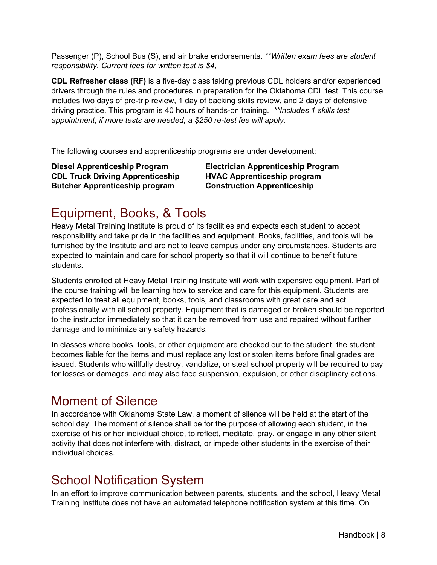Passenger (P), School Bus (S), and air brake endorsements. *\*\*Written exam fees are student responsibility. Current fees for written test is \$4,*

**CDL Refresher class (RF)** is a five-day class taking previous CDL holders and/or experienced drivers through the rules and procedures in preparation for the Oklahoma CDL test. This course includes two days of pre-trip review, 1 day of backing skills review, and 2 days of defensive driving practice. This program is 40 hours of hands-on training. *\*\*Includes 1 skills test appointment, if more tests are needed, a \$250 re-test fee will apply.*

The following courses and apprenticeship programs are under development:

**Diesel Apprenticeship Program Electrician Apprenticeship Program CDL Truck Driving Apprenticeship HVAC Apprenticeship program Butcher Apprenticeship program Construction Apprenticeship** 

# <span id="page-7-0"></span>Equipment, Books, & Tools

Heavy Metal Training Institute is proud of its facilities and expects each student to accept responsibility and take pride in the facilities and equipment. Books, facilities, and tools will be furnished by the Institute and are not to leave campus under any circumstances. Students are expected to maintain and care for school property so that it will continue to benefit future students.

Students enrolled at Heavy Metal Training Institute will work with expensive equipment. Part of the course training will be learning how to service and care for this equipment. Students are expected to treat all equipment, books, tools, and classrooms with great care and act professionally with all school property. Equipment that is damaged or broken should be reported to the instructor immediately so that it can be removed from use and repaired without further damage and to minimize any safety hazards.

In classes where books, tools, or other equipment are checked out to the student, the student becomes liable for the items and must replace any lost or stolen items before final grades are issued. Students who willfully destroy, vandalize, or steal school property will be required to pay for losses or damages, and may also face suspension, expulsion, or other disciplinary actions.

#### <span id="page-7-1"></span>Moment of Silence

In accordance with Oklahoma State Law, a moment of silence will be held at the start of the school day. The moment of silence shall be for the purpose of allowing each student, in the exercise of his or her individual choice, to reflect, meditate, pray, or engage in any other silent activity that does not interfere with, distract, or impede other students in the exercise of their individual choices.

#### <span id="page-7-2"></span>School Notification System

In an effort to improve communication between parents, students, and the school, Heavy Metal Training Institute does not have an automated telephone notification system at this time. On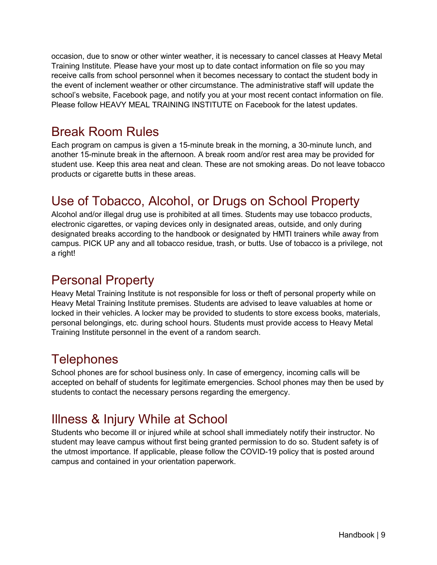occasion, due to snow or other winter weather, it is necessary to cancel classes at Heavy Metal Training Institute. Please have your most up to date contact information on file so you may receive calls from school personnel when it becomes necessary to contact the student body in the event of inclement weather or other circumstance. The administrative staff will update the school's website, Facebook page, and notify you at your most recent contact information on file. Please follow HEAVY MEAL TRAINING INSTITUTE on Facebook for the latest updates.

#### <span id="page-8-0"></span>Break Room Rules

Each program on campus is given a 15-minute break in the morning, a 30-minute lunch, and another 15-minute break in the afternoon. A break room and/or rest area may be provided for student use. Keep this area neat and clean. These are not smoking areas. Do not leave tobacco products or cigarette butts in these areas.

# <span id="page-8-1"></span>Use of Tobacco, Alcohol, or Drugs on School Property

Alcohol and/or illegal drug use is prohibited at all times. Students may use tobacco products, electronic cigarettes, or vaping devices only in designated areas, outside, and only during designated breaks according to the handbook or designated by HMTI trainers while away from campus. PICK UP any and all tobacco residue, trash, or butts. Use of tobacco is a privilege, not a right!

# <span id="page-8-2"></span>Personal Property

Heavy Metal Training Institute is not responsible for loss or theft of personal property while on Heavy Metal Training Institute premises. Students are advised to leave valuables at home or locked in their vehicles. A locker may be provided to students to store excess books, materials, personal belongings, etc. during school hours. Students must provide access to Heavy Metal Training Institute personnel in the event of a random search.

# <span id="page-8-3"></span>**Telephones**

School phones are for school business only. In case of emergency, incoming calls will be accepted on behalf of students for legitimate emergencies. School phones may then be used by students to contact the necessary persons regarding the emergency.

# <span id="page-8-4"></span>Illness & Injury While at School

Students who become ill or injured while at school shall immediately notify their instructor. No student may leave campus without first being granted permission to do so. Student safety is of the utmost importance. If applicable, please follow the COVID-19 policy that is posted around campus and contained in your orientation paperwork.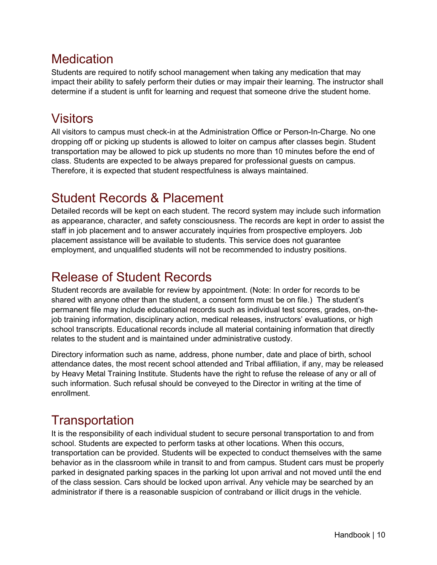#### <span id="page-9-0"></span>**Medication**

Students are required to notify school management when taking any medication that may impact their ability to safely perform their duties or may impair their learning. The instructor shall determine if a student is unfit for learning and request that someone drive the student home.

# <span id="page-9-1"></span>Visitors

All visitors to campus must check-in at the Administration Office or Person-In-Charge. No one dropping off or picking up students is allowed to loiter on campus after classes begin. Student transportation may be allowed to pick up students no more than 10 minutes before the end of class. Students are expected to be always prepared for professional guests on campus. Therefore, it is expected that student respectfulness is always maintained.

# <span id="page-9-2"></span>Student Records & Placement

Detailed records will be kept on each student. The record system may include such information as appearance, character, and safety consciousness. The records are kept in order to assist the staff in job placement and to answer accurately inquiries from prospective employers. Job placement assistance will be available to students. This service does not guarantee employment, and unqualified students will not be recommended to industry positions.

# <span id="page-9-3"></span>Release of Student Records

Student records are available for review by appointment. (Note: In order for records to be shared with anyone other than the student, a consent form must be on file.) The student's permanent file may include educational records such as individual test scores, grades, on-thejob training information, disciplinary action, medical releases, instructors' evaluations, or high school transcripts. Educational records include all material containing information that directly relates to the student and is maintained under administrative custody.

Directory information such as name, address, phone number, date and place of birth, school attendance dates, the most recent school attended and Tribal affiliation, if any, may be released by Heavy Metal Training Institute. Students have the right to refuse the release of any or all of such information. Such refusal should be conveyed to the Director in writing at the time of enrollment.

# <span id="page-9-4"></span>**Transportation**

It is the responsibility of each individual student to secure personal transportation to and from school. Students are expected to perform tasks at other locations. When this occurs, transportation can be provided. Students will be expected to conduct themselves with the same behavior as in the classroom while in transit to and from campus. Student cars must be properly parked in designated parking spaces in the parking lot upon arrival and not moved until the end of the class session. Cars should be locked upon arrival. Any vehicle may be searched by an administrator if there is a reasonable suspicion of contraband or illicit drugs in the vehicle.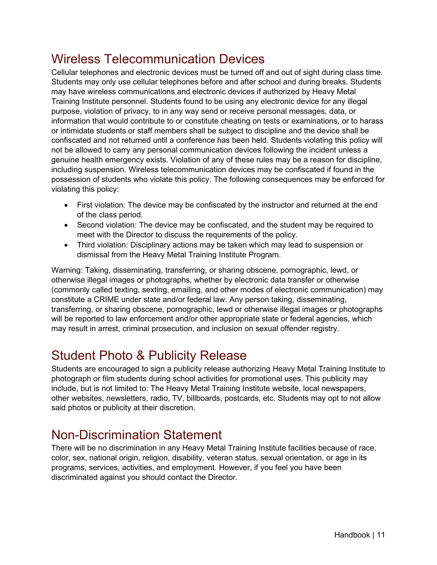# <span id="page-10-0"></span>Wireless Telecommunication Devices

Cellular telephones and electronic devices must be turned off and out of sight during class time. Students may only use cellular telephones before and after school and during breaks. Students may have wireless communications and electronic devices if authorized by Heavy Metal Training Institute personnel. Students found to be using any electronic device for any illegal purpose, violation of privacy, to in any way send or receive personal messages, data, or information that would contribute to or constitute cheating on tests or examinations, or to harass or intimidate students or staff members shall be subject to discipline and the device shall be confiscated and not returned until a conference has been held. Students violating this policy will not be allowed to carry any personal communication devices following the incident unless a genuine health emergency exists. Violation of any of these rules may be a reason for discipline, including suspension. Wireless telecommunication devices may be confiscated if found in the possession of students who violate this policy. The following consequences may be enforced for violating this policy:

- First violation: The device may be confiscated by the instructor and returned at the end of the class period.
- Second violation: The device may be confiscated, and the student may be required to meet with the Director to discuss the requirements of the policy.
- Third violation: Disciplinary actions may be taken which may lead to suspension or dismissal from the Heavy Metal Training Institute Program.

Warning: Taking, disseminating, transferring, or sharing obscene, pornographic, lewd, or otherwise illegal images or photographs, whether by electronic data transfer or otherwise (commonly called texting, sexting, emailing, and other modes of electronic communication) may constitute a CRIME under state and/or federal law. Any person taking, disseminating, transferring, or sharing obscene, pornographic, lewd or otherwise illegal images or photographs will be reported to law enforcement and/or other appropriate state or federal agencies, which may result in arrest, criminal prosecution, and inclusion on sexual offender registry.

# <span id="page-10-1"></span>Student Photo & Publicity Release

Students are encouraged to sign a publicity release authorizing Heavy Metal Training Institute to photograph or film students during school activities for promotional uses. This publicity may include, but is not limited to: The Heavy Metal Training Institute website, local newspapers, other websites, newsletters, radio, TV, billboards, postcards, etc. Students may opt to not allow said photos or publicity at their discretion.

# <span id="page-10-2"></span>Non-Discrimination Statement

There will be no discrimination in any Heavy Metal Training Institute facilities because of race, color, sex, national origin, religion, disability, veteran status, sexual orientation, or age in its programs, services, activities, and employment. However, if you feel you have been discriminated against you should contact the Director.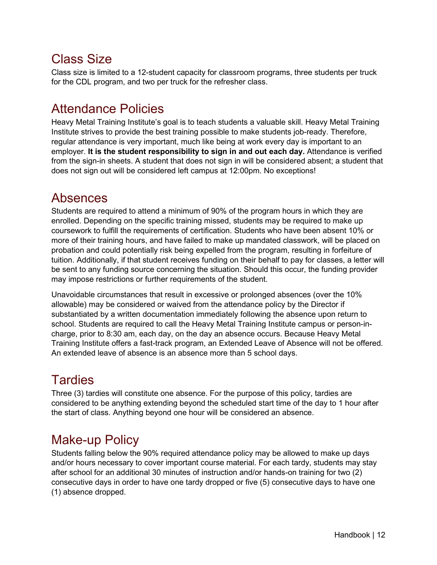### <span id="page-11-0"></span>Class Size

Class size is limited to a 12-student capacity for classroom programs, three students per truck for the CDL program, and two per truck for the refresher class.

#### <span id="page-11-1"></span>Attendance Policies

Heavy Metal Training Institute's goal is to teach students a valuable skill. Heavy Metal Training Institute strives to provide the best training possible to make students job-ready. Therefore, regular attendance is very important, much like being at work every day is important to an employer. **It is the student responsibility to sign in and out each day.** Attendance is verified from the sign-in sheets. A student that does not sign in will be considered absent; a student that does not sign out will be considered left campus at 12:00pm. No exceptions!

#### <span id="page-11-2"></span>Absences

Students are required to attend a minimum of 90% of the program hours in which they are enrolled. Depending on the specific training missed, students may be required to make up coursework to fulfill the requirements of certification. Students who have been absent 10% or more of their training hours, and have failed to make up mandated classwork, will be placed on probation and could potentially risk being expelled from the program, resulting in forfeiture of tuition. Additionally, if that student receives funding on their behalf to pay for classes, a letter will be sent to any funding source concerning the situation. Should this occur, the funding provider may impose restrictions or further requirements of the student.

Unavoidable circumstances that result in excessive or prolonged absences (over the 10% allowable) may be considered or waived from the attendance policy by the Director if substantiated by a written documentation immediately following the absence upon return to school. Students are required to call the Heavy Metal Training Institute campus or person-incharge, prior to 8:30 am, each day, on the day an absence occurs. Because Heavy Metal Training Institute offers a fast-track program, an Extended Leave of Absence will not be offered. An extended leave of absence is an absence more than 5 school days.

# <span id="page-11-3"></span>**Tardies**

Three (3) tardies will constitute one absence. For the purpose of this policy, tardies are considered to be anything extending beyond the scheduled start time of the day to 1 hour after the start of class. Anything beyond one hour will be considered an absence.

# <span id="page-11-4"></span>Make-up Policy

Students falling below the 90% required attendance policy may be allowed to make up days and/or hours necessary to cover important course material. For each tardy, students may stay after school for an additional 30 minutes of instruction and/or hands-on training for two (2) consecutive days in order to have one tardy dropped or five (5) consecutive days to have one (1) absence dropped.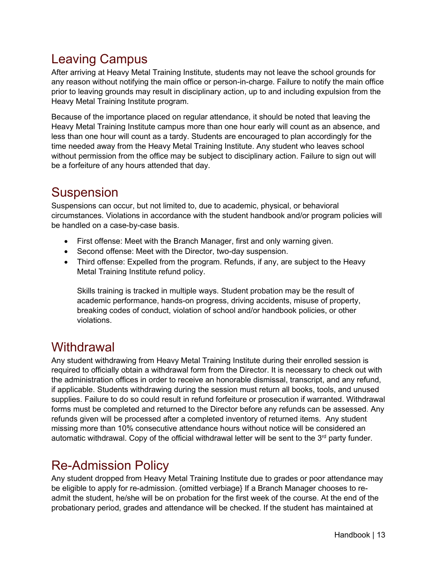# <span id="page-12-0"></span>Leaving Campus

After arriving at Heavy Metal Training Institute, students may not leave the school grounds for any reason without notifying the main office or person-in-charge. Failure to notify the main office prior to leaving grounds may result in disciplinary action, up to and including expulsion from the Heavy Metal Training Institute program.

Because of the importance placed on regular attendance, it should be noted that leaving the Heavy Metal Training Institute campus more than one hour early will count as an absence, and less than one hour will count as a tardy. Students are encouraged to plan accordingly for the time needed away from the Heavy Metal Training Institute. Any student who leaves school without permission from the office may be subject to disciplinary action. Failure to sign out will be a forfeiture of any hours attended that day.

# <span id="page-12-1"></span>Suspension

Suspensions can occur, but not limited to, due to academic, physical, or behavioral circumstances. Violations in accordance with the student handbook and/or program policies will be handled on a case-by-case basis.

- First offense: Meet with the Branch Manager, first and only warning given.
- Second offense: Meet with the Director, two-day suspension.
- Third offense: Expelled from the program. Refunds, if any, are subject to the Heavy Metal Training Institute refund policy.

Skills training is tracked in multiple ways. Student probation may be the result of academic performance, hands-on progress, driving accidents, misuse of property, breaking codes of conduct, violation of school and/or handbook policies, or other violations.

#### <span id="page-12-2"></span>**Withdrawal**

Any student withdrawing from Heavy Metal Training Institute during their enrolled session is required to officially obtain a withdrawal form from the Director. It is necessary to check out with the administration offices in order to receive an honorable dismissal, transcript, and any refund, if applicable. Students withdrawing during the session must return all books, tools, and unused supplies. Failure to do so could result in refund forfeiture or prosecution if warranted. Withdrawal forms must be completed and returned to the Director before any refunds can be assessed. Any refunds given will be processed after a completed inventory of returned items. Any student missing more than 10% consecutive attendance hours without notice will be considered an automatic withdrawal. Copy of the official withdrawal letter will be sent to the  $3<sup>rd</sup>$  party funder.

# <span id="page-12-3"></span>Re-Admission Policy

Any student dropped from Heavy Metal Training Institute due to grades or poor attendance may be eligible to apply for re-admission. {omitted verbiage} If a Branch Manager chooses to readmit the student, he/she will be on probation for the first week of the course. At the end of the probationary period, grades and attendance will be checked. If the student has maintained at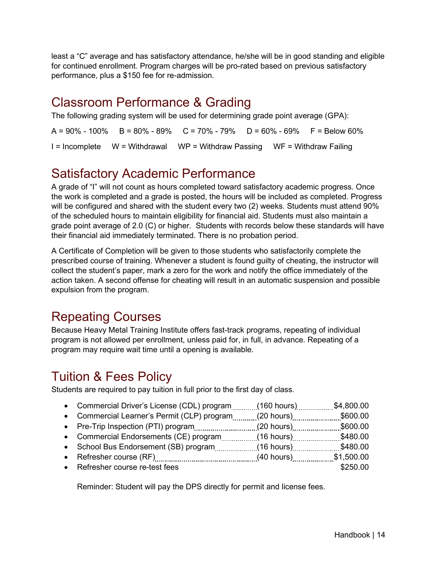least a "C" average and has satisfactory attendance, he/she will be in good standing and eligible for continued enrollment. Program charges will be pro-rated based on previous satisfactory performance, plus a \$150 fee for re-admission.

# <span id="page-13-0"></span>Classroom Performance & Grading

The following grading system will be used for determining grade point average (GPA):

 $A = 90\% - 100\%$  B = 80% - 89% C = 70% - 79% D = 60% - 69% F = Below 60%  $I = Incomplete \t W = Withdrawal \t W = Withdraw Passing \t W = Withdraw P,$ 

# <span id="page-13-1"></span>Satisfactory Academic Performance

A grade of "I" will not count as hours completed toward satisfactory academic progress. Once the work is completed and a grade is posted, the hours will be included as completed. Progress will be configured and shared with the student every two (2) weeks. Students must attend 90% of the scheduled hours to maintain eligibility for financial aid. Students must also maintain a grade point average of 2.0 (C) or higher. Students with records below these standards will have their financial aid immediately terminated. There is no probation period.

A Certificate of Completion will be given to those students who satisfactorily complete the prescribed course of training. Whenever a student is found guilty of cheating, the instructor will collect the student's paper, mark a zero for the work and notify the office immediately of the action taken. A second offense for cheating will result in an automatic suspension and possible expulsion from the program.

# <span id="page-13-2"></span>Repeating Courses

Because Heavy Metal Training Institute offers fast-track programs, repeating of individual program is not allowed per enrollment, unless paid for, in full, in advance. Repeating of a program may require wait time until a opening is available.

# <span id="page-13-3"></span>Tuition & Fees Policy

Students are required to pay tuition in full prior to the first day of class.

| • Commercial Driver's License (CDL) program    | $(160 \text{ hours})$  | \$4,800.00 |
|------------------------------------------------|------------------------|------------|
| • Commercial Learner's Permit (CLP) program    | $(20 \text{ hours})$   | \$600.00   |
| • Pre-Trip Inspection (PTI) program (20 hours) |                        | \$600.00   |
| • Commercial Endorsements (CE) program         | $(16 \text{ hours})$   | \$480.00   |
| • School Bus Endorsement (SB) program          | (16 hours) <sub></sub> | \$480.00   |
|                                                | $(40 \text{ hours})$   | \$1,500.00 |
| • Refresher course re-test fees                |                        | \$250.00   |
|                                                |                        |            |

Reminder: Student will pay the DPS directly for permit and license fees.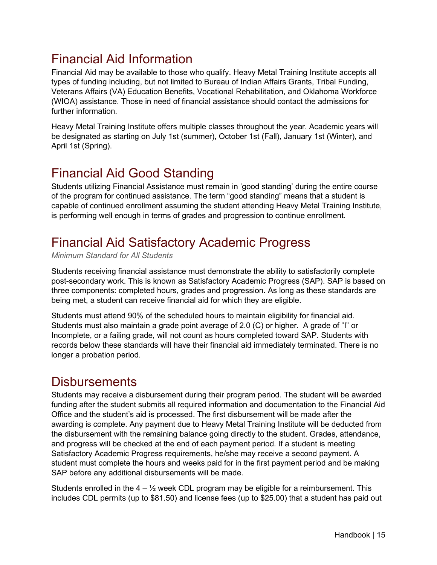# <span id="page-14-0"></span>Financial Aid Information

Financial Aid may be available to those who qualify. Heavy Metal Training Institute accepts all types of funding including, but not limited to Bureau of Indian Affairs Grants, Tribal Funding, Veterans Affairs (VA) Education Benefits, Vocational Rehabilitation, and Oklahoma Workforce (WIOA) assistance. Those in need of financial assistance should contact the admissions for further information.

Heavy Metal Training Institute offers multiple classes throughout the year. Academic years will be designated as starting on July 1st (summer), October 1st (Fall), January 1st (Winter), and April 1st (Spring).

# <span id="page-14-1"></span>Financial Aid Good Standing

Students utilizing Financial Assistance must remain in 'good standing' during the entire course of the program for continued assistance. The term "good standing" means that a student is capable of continued enrollment assuming the student attending Heavy Metal Training Institute, is performing well enough in terms of grades and progression to continue enrollment.

# <span id="page-14-2"></span>Financial Aid Satisfactory Academic Progress

*Minimum Standard for All Students*

Students receiving financial assistance must demonstrate the ability to satisfactorily complete post-secondary work. This is known as Satisfactory Academic Progress (SAP). SAP is based on three components: completed hours, grades and progression. As long as these standards are being met, a student can receive financial aid for which they are eligible.

Students must attend 90% of the scheduled hours to maintain eligibility for financial aid. Students must also maintain a grade point average of 2.0 (C) or higher. A grade of "I" or Incomplete, or a failing grade, will not count as hours completed toward SAP. Students with records below these standards will have their financial aid immediately terminated. There is no longer a probation period.

#### <span id="page-14-3"></span>**Disbursements**

Students may receive a disbursement during their program period. The student will be awarded funding after the student submits all required information and documentation to the Financial Aid Office and the student's aid is processed. The first disbursement will be made after the awarding is complete. Any payment due to Heavy Metal Training Institute will be deducted from the disbursement with the remaining balance going directly to the student. Grades, attendance, and progress will be checked at the end of each payment period. If a student is meeting Satisfactory Academic Progress requirements, he/she may receive a second payment. A student must complete the hours and weeks paid for in the first payment period and be making SAP before any additional disbursements will be made.

Students enrolled in the  $4 - \frac{1}{2}$  week CDL program may be eligible for a reimbursement. This includes CDL permits (up to \$81.50) and license fees (up to \$25.00) that a student has paid out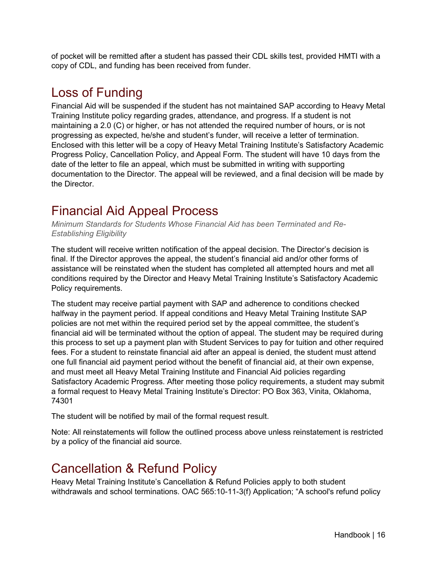of pocket will be remitted after a student has passed their CDL skills test, provided HMTI with a copy of CDL, and funding has been received from funder.

#### <span id="page-15-0"></span>Loss of Funding

Financial Aid will be suspended if the student has not maintained SAP according to Heavy Metal Training Institute policy regarding grades, attendance, and progress. If a student is not maintaining a 2.0 (C) or higher, or has not attended the required number of hours, or is not progressing as expected, he/she and student's funder, will receive a letter of termination. Enclosed with this letter will be a copy of Heavy Metal Training Institute's Satisfactory Academic Progress Policy, Cancellation Policy, and Appeal Form. The student will have 10 days from the date of the letter to file an appeal, which must be submitted in writing with supporting documentation to the Director. The appeal will be reviewed, and a final decision will be made by the Director.

#### <span id="page-15-1"></span>Financial Aid Appeal Process

*Minimum Standards for Students Whose Financial Aid has been Terminated and Re-Establishing Eligibility*

The student will receive written notification of the appeal decision. The Director's decision is final. If the Director approves the appeal, the student's financial aid and/or other forms of assistance will be reinstated when the student has completed all attempted hours and met all conditions required by the Director and Heavy Metal Training Institute's Satisfactory Academic Policy requirements.

The student may receive partial payment with SAP and adherence to conditions checked halfway in the payment period. If appeal conditions and Heavy Metal Training Institute SAP policies are not met within the required period set by the appeal committee, the student's financial aid will be terminated without the option of appeal. The student may be required during this process to set up a payment plan with Student Services to pay for tuition and other required fees. For a student to reinstate financial aid after an appeal is denied, the student must attend one full financial aid payment period without the benefit of financial aid, at their own expense, and must meet all Heavy Metal Training Institute and Financial Aid policies regarding Satisfactory Academic Progress. After meeting those policy requirements, a student may submit a formal request to Heavy Metal Training Institute's Director: PO Box 363, Vinita, Oklahoma, 74301

The student will be notified by mail of the formal request result.

Note: All reinstatements will follow the outlined process above unless reinstatement is restricted by a policy of the financial aid source.

#### <span id="page-15-2"></span>Cancellation & Refund Policy

Heavy Metal Training Institute's Cancellation & Refund Policies apply to both student withdrawals and school terminations. OAC 565:10-11-3(f) Application; "A school's refund policy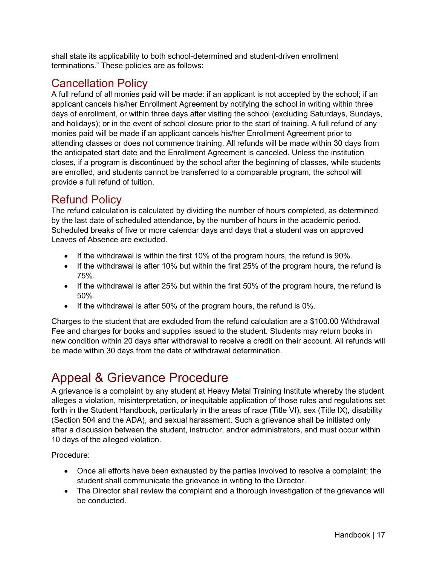shall state its applicability to both school-determined and student-driven enrollment terminations." These policies are as follows:

#### <span id="page-16-0"></span>Cancellation Policy

A full refund of all monies paid will be made: if an applicant is not accepted by the school; if an applicant cancels his/her Enrollment Agreement by notifying the school in writing within three days of enrollment, or within three days after visiting the school (excluding Saturdays, Sundays, and holidays); or in the event of school closure prior to the start of training. A full refund of any monies paid will be made if an applicant cancels his/her Enrollment Agreement prior to attending classes or does not commence training. All refunds will be made within 30 days from the anticipated start date and the Enrollment Agreement is canceled. Unless the institution closes, if a program is discontinued by the school after the beginning of classes, while students are enrolled, and students cannot be transferred to a comparable program, the school will provide a full refund of tuition.

#### <span id="page-16-1"></span>Refund Policy

The refund calculation is calculated by dividing the number of hours completed, as determined by the last date of scheduled attendance, by the number of hours in the academic period. Scheduled breaks of five or more calendar days and days that a student was on approved Leaves of Absence are excluded.

- If the withdrawal is within the first 10% of the program hours, the refund is 90%.
- If the withdrawal is after 10% but within the first 25% of the program hours, the refund is 75%.
- If the withdrawal is after 25% but within the first 50% of the program hours, the refund is 50%.
- If the withdrawal is after 50% of the program hours, the refund is 0%.

Charges to the student that are excluded from the refund calculation are a \$100.00 Withdrawal Fee and charges for books and supplies issued to the student. Students may return books in new condition within 20 days after withdrawal to receive a credit on their account. All refunds will be made within 30 days from the date of withdrawal determination.

# <span id="page-16-2"></span>Appeal & Grievance Procedure

A grievance is a complaint by any student at Heavy Metal Training Institute whereby the student alleges a violation, misinterpretation, or inequitable application of those rules and regulations set forth in the Student Handbook, particularly in the areas of race (Title VI), sex (Title IX), disability (Section 504 and the ADA), and sexual harassment. Such a grievance shall be initiated only after a discussion between the student, instructor, and/or administrators, and must occur within 10 days of the alleged violation.

Procedure:

- Once all efforts have been exhausted by the parties involved to resolve a complaint; the student shall communicate the grievance in writing to the Director.
- The Director shall review the complaint and a thorough investigation of the grievance will be conducted.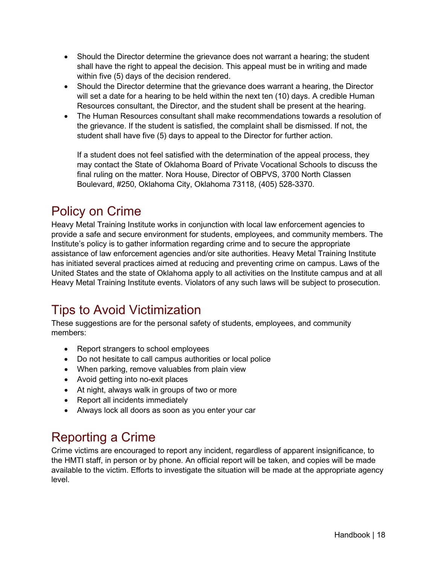- Should the Director determine the grievance does not warrant a hearing; the student shall have the right to appeal the decision. This appeal must be in writing and made within five (5) days of the decision rendered.
- Should the Director determine that the grievance does warrant a hearing, the Director will set a date for a hearing to be held within the next ten (10) days. A credible Human Resources consultant, the Director, and the student shall be present at the hearing.
- The Human Resources consultant shall make recommendations towards a resolution of the grievance. If the student is satisfied, the complaint shall be dismissed. If not, the student shall have five (5) days to appeal to the Director for further action.

If a student does not feel satisfied with the determination of the appeal process, they may contact the State of Oklahoma Board of Private Vocational Schools to discuss the final ruling on the matter. Nora House, Director of OBPVS, 3700 North Classen Boulevard, #250, Oklahoma City, Oklahoma 73118, (405) 528-3370.

# <span id="page-17-0"></span>Policy on Crime

Heavy Metal Training Institute works in conjunction with local law enforcement agencies to provide a safe and secure environment for students, employees, and community members. The Institute's policy is to gather information regarding crime and to secure the appropriate assistance of law enforcement agencies and/or site authorities. Heavy Metal Training Institute has initiated several practices aimed at reducing and preventing crime on campus. Laws of the United States and the state of Oklahoma apply to all activities on the Institute campus and at all Heavy Metal Training Institute events. Violators of any such laws will be subject to prosecution.

# <span id="page-17-1"></span>Tips to Avoid Victimization

These suggestions are for the personal safety of students, employees, and community members:

- Report strangers to school employees
- Do not hesitate to call campus authorities or local police
- When parking, remove valuables from plain view
- Avoid getting into no-exit places
- At night, always walk in groups of two or more
- Report all incidents immediately
- Always lock all doors as soon as you enter your car

# <span id="page-17-2"></span>Reporting a Crime

Crime victims are encouraged to report any incident, regardless of apparent insignificance, to the HMTI staff, in person or by phone. An official report will be taken, and copies will be made available to the victim. Efforts to investigate the situation will be made at the appropriate agency level.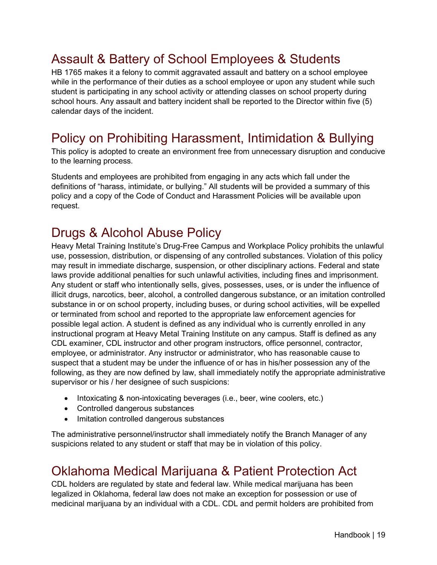# <span id="page-18-0"></span>Assault & Battery of School Employees & Students

HB 1765 makes it a felony to commit aggravated assault and battery on a school employee while in the performance of their duties as a school employee or upon any student while such student is participating in any school activity or attending classes on school property during school hours. Any assault and battery incident shall be reported to the Director within five (5) calendar days of the incident.

#### <span id="page-18-1"></span>Policy on Prohibiting Harassment, Intimidation & Bullying

This policy is adopted to create an environment free from unnecessary disruption and conducive to the learning process.

Students and employees are prohibited from engaging in any acts which fall under the definitions of "harass, intimidate, or bullying." All students will be provided a summary of this policy and a copy of the Code of Conduct and Harassment Policies will be available upon request.

### <span id="page-18-2"></span>Drugs & Alcohol Abuse Policy

Heavy Metal Training Institute's Drug-Free Campus and Workplace Policy prohibits the unlawful use, possession, distribution, or dispensing of any controlled substances. Violation of this policy may result in immediate discharge, suspension, or other disciplinary actions. Federal and state laws provide additional penalties for such unlawful activities, including fines and imprisonment. Any student or staff who intentionally sells, gives, possesses, uses, or is under the influence of illicit drugs, narcotics, beer, alcohol, a controlled dangerous substance, or an imitation controlled substance in or on school property, including buses, or during school activities, will be expelled or terminated from school and reported to the appropriate law enforcement agencies for possible legal action. A student is defined as any individual who is currently enrolled in any instructional program at Heavy Metal Training Institute on any campus. Staff is defined as any CDL examiner, CDL instructor and other program instructors, office personnel, contractor, employee, or administrator. Any instructor or administrator, who has reasonable cause to suspect that a student may be under the influence of or has in his/her possession any of the following, as they are now defined by law, shall immediately notify the appropriate administrative supervisor or his / her designee of such suspicions:

- Intoxicating & non-intoxicating beverages (i.e., beer, wine coolers, etc.)
- Controlled dangerous substances
- Imitation controlled dangerous substances

The administrative personnel/instructor shall immediately notify the Branch Manager of any suspicions related to any student or staff that may be in violation of this policy.

#### <span id="page-18-3"></span>Oklahoma Medical Marijuana & Patient Protection Act

CDL holders are regulated by state and federal law. While medical marijuana has been legalized in Oklahoma, federal law does not make an exception for possession or use of medicinal marijuana by an individual with a CDL. CDL and permit holders are prohibited from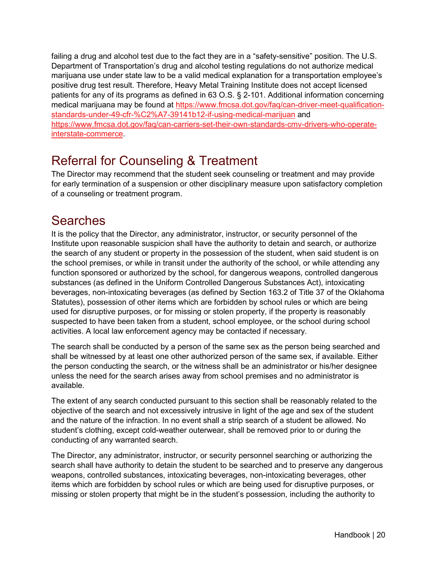failing a drug and alcohol test due to the fact they are in a "safety-sensitive" position. The U.S. Department of Transportation's drug and alcohol testing regulations do not authorize medical marijuana use under state law to be a valid medical explanation for a transportation employee's positive drug test result. Therefore, Heavy Metal Training Institute does not accept licensed patients for any of its programs as defined in 63 O.S. § 2-101. Additional information concerning medical marijuana may be found at [https://www.fmcsa.dot.gov/faq/can-driver-meet-qualification](https://www.fmcsa.dot.gov/faq/can-driver-meet-qualification-standards-under-49-cfr-%C2%A7-39141b12-if-using-medical-marijuan)[standards-under-49-cfr-%C2%A7-39141b12-if-using-medical-marijuan](https://www.fmcsa.dot.gov/faq/can-driver-meet-qualification-standards-under-49-cfr-%C2%A7-39141b12-if-using-medical-marijuan) and [https://www.fmcsa.dot.gov/faq/can-carriers-set-their-own-standards-cmv-drivers-who-operate](https://www.fmcsa.dot.gov/faq/can-carriers-set-their-own-standards-cmv-drivers-who-operate-interstate-commerce)[interstate-commerce.](https://www.fmcsa.dot.gov/faq/can-carriers-set-their-own-standards-cmv-drivers-who-operate-interstate-commerce)

#### <span id="page-19-0"></span>Referral for Counseling & Treatment

The Director may recommend that the student seek counseling or treatment and may provide for early termination of a suspension or other disciplinary measure upon satisfactory completion of a counseling or treatment program.

#### <span id="page-19-1"></span>Searches

It is the policy that the Director, any administrator, instructor, or security personnel of the Institute upon reasonable suspicion shall have the authority to detain and search, or authorize the search of any student or property in the possession of the student, when said student is on the school premises, or while in transit under the authority of the school, or while attending any function sponsored or authorized by the school, for dangerous weapons, controlled dangerous substances (as defined in the Uniform Controlled Dangerous Substances Act), intoxicating beverages, non-intoxicating beverages (as defined by Section 163.2 of Title 37 of the Oklahoma Statutes), possession of other items which are forbidden by school rules or which are being used for disruptive purposes, or for missing or stolen property, if the property is reasonably suspected to have been taken from a student, school employee, or the school during school activities. A local law enforcement agency may be contacted if necessary.

The search shall be conducted by a person of the same sex as the person being searched and shall be witnessed by at least one other authorized person of the same sex, if available. Either the person conducting the search, or the witness shall be an administrator or his/her designee unless the need for the search arises away from school premises and no administrator is available.

The extent of any search conducted pursuant to this section shall be reasonably related to the objective of the search and not excessively intrusive in light of the age and sex of the student and the nature of the infraction. In no event shall a strip search of a student be allowed. No student's clothing, except cold-weather outerwear, shall be removed prior to or during the conducting of any warranted search.

The Director, any administrator, instructor, or security personnel searching or authorizing the search shall have authority to detain the student to be searched and to preserve any dangerous weapons, controlled substances, intoxicating beverages, non-intoxicating beverages, other items which are forbidden by school rules or which are being used for disruptive purposes, or missing or stolen property that might be in the student's possession, including the authority to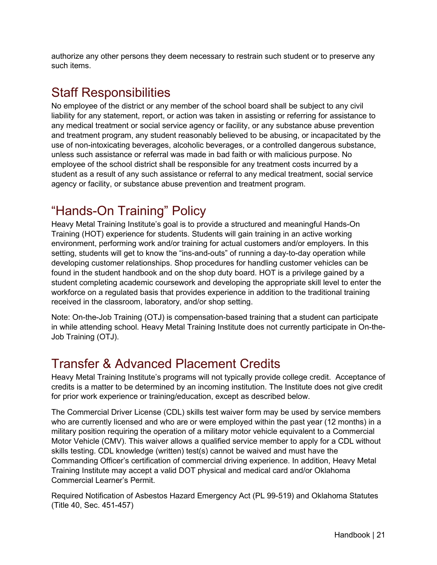authorize any other persons they deem necessary to restrain such student or to preserve any such items.

#### <span id="page-20-0"></span>Staff Responsibilities

No employee of the district or any member of the school board shall be subject to any civil liability for any statement, report, or action was taken in assisting or referring for assistance to any medical treatment or social service agency or facility, or any substance abuse prevention and treatment program, any student reasonably believed to be abusing, or incapacitated by the use of non-intoxicating beverages, alcoholic beverages, or a controlled dangerous substance, unless such assistance or referral was made in bad faith or with malicious purpose. No employee of the school district shall be responsible for any treatment costs incurred by a student as a result of any such assistance or referral to any medical treatment, social service agency or facility, or substance abuse prevention and treatment program.

# <span id="page-20-1"></span>"Hands-On Training" Policy

Heavy Metal Training Institute's goal is to provide a structured and meaningful Hands-On Training (HOT) experience for students. Students will gain training in an active working environment, performing work and/or training for actual customers and/or employers. In this setting, students will get to know the "ins-and-outs" of running a day-to-day operation while developing customer relationships. Shop procedures for handling customer vehicles can be found in the student handbook and on the shop duty board. HOT is a privilege gained by a student completing academic coursework and developing the appropriate skill level to enter the workforce on a regulated basis that provides experience in addition to the traditional training received in the classroom, laboratory, and/or shop setting.

Note: On-the-Job Training (OTJ) is compensation-based training that a student can participate in while attending school. Heavy Metal Training Institute does not currently participate in On-the-Job Training (OTJ).

# <span id="page-20-2"></span>Transfer & Advanced Placement Credits

Heavy Metal Training Institute's programs will not typically provide college credit. Acceptance of credits is a matter to be determined by an incoming institution. The Institute does not give credit for prior work experience or training/education, except as described below.

The Commercial Driver License (CDL) skills test waiver form may be used by service members who are currently licensed and who are or were employed within the past year (12 months) in a military position requiring the operation of a military motor vehicle equivalent to a Commercial Motor Vehicle (CMV). This waiver allows a qualified service member to apply for a CDL without skills testing. CDL knowledge (written) test(s) cannot be waived and must have the Commanding Officer's certification of commercial driving experience. In addition, Heavy Metal Training Institute may accept a valid DOT physical and medical card and/or Oklahoma Commercial Learner's Permit.

Required Notification of Asbestos Hazard Emergency Act (PL 99-519) and Oklahoma Statutes (Title 40, Sec. 451-457)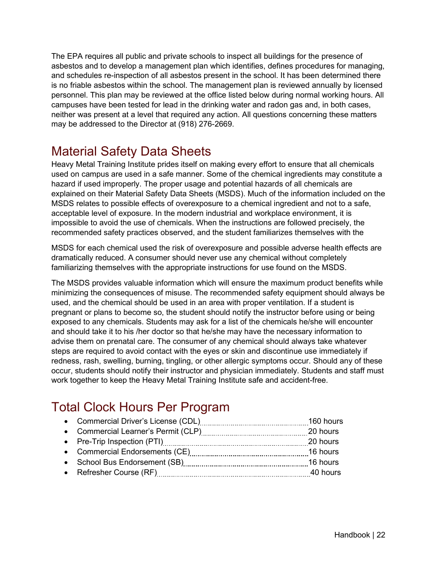The EPA requires all public and private schools to inspect all buildings for the presence of asbestos and to develop a management plan which identifies, defines procedures for managing, and schedules re-inspection of all asbestos present in the school. It has been determined there is no friable asbestos within the school. The management plan is reviewed annually by licensed personnel. This plan may be reviewed at the office listed below during normal working hours. All campuses have been tested for lead in the drinking water and radon gas and, in both cases, neither was present at a level that required any action. All questions concerning these matters may be addressed to the Director at (918) 276-2669.

# <span id="page-21-0"></span>Material Safety Data Sheets

Heavy Metal Training Institute prides itself on making every effort to ensure that all chemicals used on campus are used in a safe manner. Some of the chemical ingredients may constitute a hazard if used improperly. The proper usage and potential hazards of all chemicals are explained on their Material Safety Data Sheets (MSDS). Much of the information included on the MSDS relates to possible effects of overexposure to a chemical ingredient and not to a safe, acceptable level of exposure. In the modern industrial and workplace environment, it is impossible to avoid the use of chemicals. When the instructions are followed precisely, the recommended safety practices observed, and the student familiarizes themselves with the

MSDS for each chemical used the risk of overexposure and possible adverse health effects are dramatically reduced. A consumer should never use any chemical without completely familiarizing themselves with the appropriate instructions for use found on the MSDS.

The MSDS provides valuable information which will ensure the maximum product benefits while minimizing the consequences of misuse. The recommended safety equipment should always be used, and the chemical should be used in an area with proper ventilation. If a student is pregnant or plans to become so, the student should notify the instructor before using or being exposed to any chemicals. Students may ask for a list of the chemicals he/she will encounter and should take it to his /her doctor so that he/she may have the necessary information to advise them on prenatal care. The consumer of any chemical should always take whatever steps are required to avoid contact with the eyes or skin and discontinue use immediately if redness, rash, swelling, burning, tingling, or other allergic symptoms occur. Should any of these occur, students should notify their instructor and physician immediately. Students and staff must work together to keep the Heavy Metal Training Institute safe and accident-free.

# <span id="page-21-1"></span>Total Clock Hours Per Program

| 20 hours |
|----------|
| 20 hours |
|          |
|          |
| 40 hours |
|          |